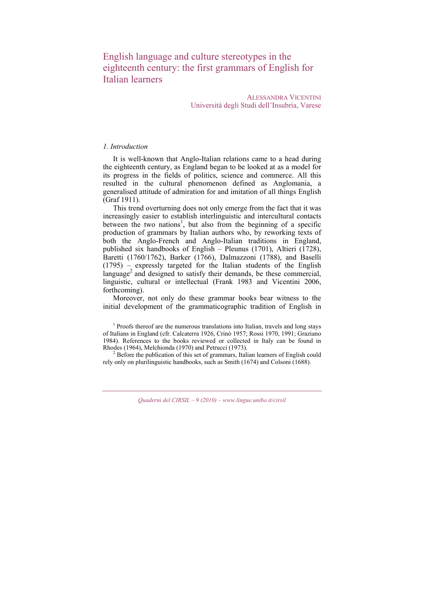English language and culture stereotypes in the eighteenth century: the first grammars of English for Italian learners

> ALESSANDRA VICENTINI Università degli Studi dell'Insubria, Varese

# *1. Introduction*

It is well-known that Anglo-Italian relations came to a head during the eighteenth century, as England began to be looked at as a model for its progress in the fields of politics, science and commerce. All this resulted in the cultural phenomenon defined as Anglomania, a generalised attitude of admiration for and imitation of all things English (Graf 1911).

This trend overturning does not only emerge from the fact that it was increasingly easier to establish interlinguistic and intercultural contacts between the two nations<sup>1</sup>, but also from the beginning of a specific production of grammars by Italian authors who, by reworking texts of both the Anglo-French and Anglo-Italian traditions in England, published six handbooks of English – Pleunus (1701), Altieri (1728), Baretti (1760/1762), Barker (1766), Dalmazzoni (1788), and Baselli (1795) – expressly targeted for the Italian students of the English language<sup>2</sup> and designed to satisfy their demands, be these commercial, linguistic, cultural or intellectual (Frank 1983 and Vicentini 2006, forthcoming).

Moreover, not only do these grammar books bear witness to the initial development of the grammaticographic tradition of English in

<sup>1</sup> Proofs thereof are the numerous translations into Italian, travels and long stays of Italians in England (cfr. Calcaterra 1926, Crinò 1957; Rossi 1970, 1991; Graziano 1984). References to the books reviewed or collected in Italy can be found in Rhodes (1964), Melchionda (1970) and Petrucci (1973). 2

<sup>2</sup> Before the publication of this set of grammars, Italian learners of English could rely only on plurilinguistic handbooks, such as Smith (1674) and Colsoni (1688).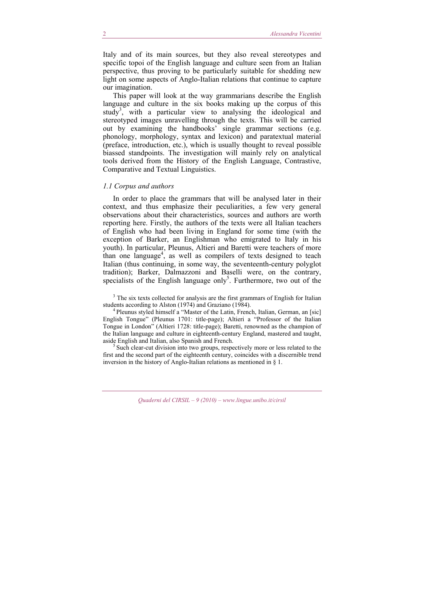Italy and of its main sources, but they also reveal stereotypes and specific topoi of the English language and culture seen from an Italian perspective, thus proving to be particularly suitable for shedding new light on some aspects of Anglo-Italian relations that continue to capture our imagination.

This paper will look at the way grammarians describe the English language and culture in the six books making up the corpus of this study<sup>3</sup>, with a particular view to analysing the ideological and stereotyped images unravelling through the texts. This will be carried out by examining the handbooks' single grammar sections (e.g. phonology, morphology, syntax and lexicon) and paratextual material (preface, introduction, etc.), which is usually thought to reveal possible biassed standpoints. The investigation will mainly rely on analytical tools derived from the History of the English Language, Contrastive, Comparative and Textual Linguistics.

#### *1.1 Corpus and authors*

In order to place the grammars that will be analysed later in their context, and thus emphasize their peculiarities, a few very general observations about their characteristics, sources and authors are worth reporting here. Firstly, the authors of the texts were all Italian teachers of English who had been living in England for some time (with the exception of Barker, an Englishman who emigrated to Italy in his youth). In particular, Pleunus, Altieri and Baretti were teachers of more than one language<sup>4</sup>, as well as compilers of texts designed to teach Italian (thus continuing, in some way, the seventeenth-century polyglot tradition); Barker, Dalmazzoni and Baselli were, on the contrary, specialists of the English language only<sup>5</sup>. Furthermore, two out of the

<sup>3</sup> The six texts collected for analysis are the first grammars of English for Italian students according to Alston (1974) and Graziano (1984).<br><sup>4</sup> Pleunus styled himself a "Master of the Latin, French, Italian, German, an [sic]

English Tongue" (Pleunus 1701: title-page); Altieri a "Professor of the Italian Tongue in London" (Altieri 1728: title-page); Baretti, renowned as the champion of the Italian language and culture in eighteenth-century England, mastered and taught, aside English and Italian, also Spanish and French.<br><sup>5</sup> Such clear-cut division into two groups, respectively more or less related to the

first and the second part of the eighteenth century, coincides with a discernible trend inversion in the history of Anglo-Italian relations as mentioned in § 1.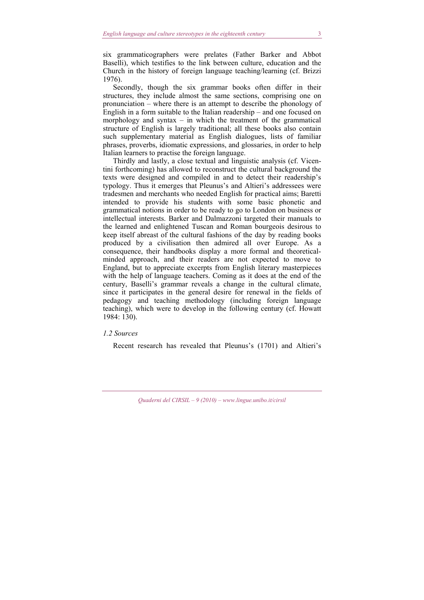six grammaticographers were prelates (Father Barker and Abbot Baselli), which testifies to the link between culture, education and the Church in the history of foreign language teaching/learning (cf. Brizzi 1976).

Secondly, though the six grammar books often differ in their structures, they include almost the same sections, comprising one on pronunciation – where there is an attempt to describe the phonology of English in a form suitable to the Italian readership – and one focused on morphology and syntax – in which the treatment of the grammatical structure of English is largely traditional; all these books also contain such supplementary material as English dialogues, lists of familiar phrases, proverbs, idiomatic expressions, and glossaries, in order to help Italian learners to practise the foreign language.

Thirdly and lastly, a close textual and linguistic analysis (cf. Vicentini forthcoming) has allowed to reconstruct the cultural background the texts were designed and compiled in and to detect their readership's typology. Thus it emerges that Pleunus's and Altieri's addressees were tradesmen and merchants who needed English for practical aims; Baretti intended to provide his students with some basic phonetic and grammatical notions in order to be ready to go to London on business or intellectual interests. Barker and Dalmazzoni targeted their manuals to the learned and enlightened Tuscan and Roman bourgeois desirous to keep itself abreast of the cultural fashions of the day by reading books produced by a civilisation then admired all over Europe. As a consequence, their handbooks display a more formal and theoreticalminded approach, and their readers are not expected to move to England, but to appreciate excerpts from English literary masterpieces with the help of language teachers. Coming as it does at the end of the century, Baselli's grammar reveals a change in the cultural climate, since it participates in the general desire for renewal in the fields of pedagogy and teaching methodology (including foreign language teaching), which were to develop in the following century (cf. Howatt 1984: 130).

#### *1.2 Sources*

Recent research has revealed that Pleunus's (1701) and Altieri's

*Quaderni del CIRSIL – 9 (2010) – www.lingue.unibo.it/cirsil*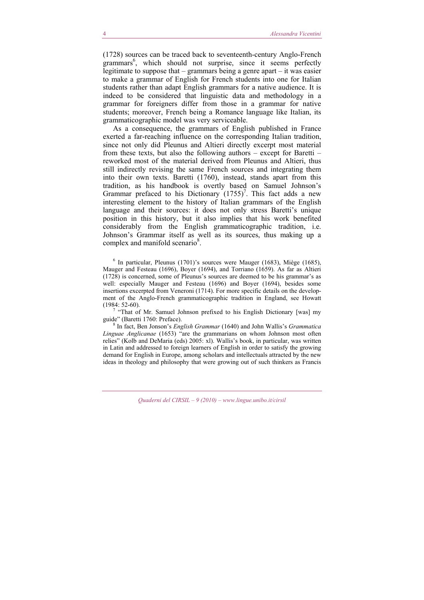(1728) sources can be traced back to seventeenth-century Anglo-French grammars<sup>6</sup>, which should not surprise, since it seems perfectly legitimate to suppose that – grammars being a genre apart – it was easier to make a grammar of English for French students into one for Italian students rather than adapt English grammars for a native audience. It is indeed to be considered that linguistic data and methodology in a grammar for foreigners differ from those in a grammar for native students; moreover, French being a Romance language like Italian, its grammaticographic model was very serviceable.

As a consequence, the grammars of English published in France exerted a far-reaching influence on the corresponding Italian tradition, since not only did Pleunus and Altieri directly excerpt most material from these texts, but also the following authors – except for Baretti – reworked most of the material derived from Pleunus and Altieri, thus still indirectly revising the same French sources and integrating them into their own texts. Baretti (1760), instead, stands apart from this tradition, as his handbook is overtly based on Samuel Johnson's Grammar prefaced to his Dictionary  $(1755)^7$ . This fact adds a new interesting element to the history of Italian grammars of the English language and their sources: it does not only stress Baretti's unique position in this history, but it also implies that his work benefited considerably from the English grammaticographic tradition, i.e. Johnson's Grammar itself as well as its sources, thus making up a complex and manifold scenario<sup>8</sup>.

6 In particular, Pleunus (1701)'s sources were Mauger (1683), Miège (1685), Mauger and Festeau (1696), Boyer (1694), and Torriano (1659). As far as Altieri (1728) is concerned, some of Pleunus's sources are deemed to be his grammar's as well: especially Mauger and Festeau (1696) and Boyer (1694), besides some insertions excerpted from Veneroni (1714). For more specific details on the development of the Anglo-French grammaticographic tradition in England, see Howatt (1984: 52-60).<br><sup>7</sup> "That of Mr. Samuel Johnson prefixed to his English Dictionary [was] my

guide" (Baretti 1760: Preface).

 In fact, Ben Jonson's *English Grammar* (1640) and John Wallis's *Grammatica Linguae Anglicanae* (1653) "are the grammarians on whom Johnson most often relies" (Kolb and DeMaria (eds) 2005: xl). Wallis's book, in particular, was written in Latin and addressed to foreign learners of English in order to satisfy the growing demand for English in Europe, among scholars and intellectuals attracted by the new ideas in theology and philosophy that were growing out of such thinkers as Francis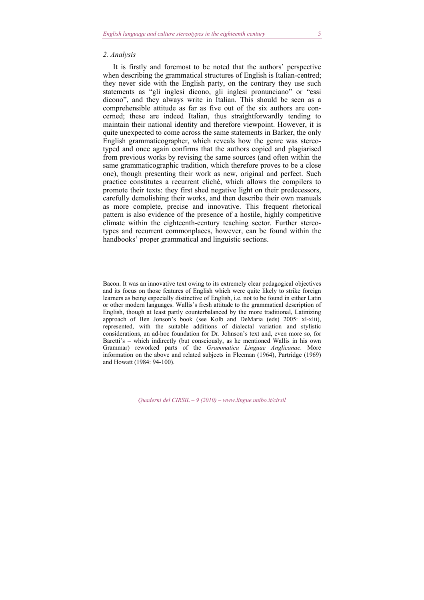#### *2. Analysis*

It is firstly and foremost to be noted that the authors' perspective when describing the grammatical structures of English is Italian-centred; they never side with the English party, on the contrary they use such statements as "gli inglesi dicono, gli inglesi pronunciano" or "essi dicono", and they always write in Italian. This should be seen as a comprehensible attitude as far as five out of the six authors are concerned; these are indeed Italian, thus straightforwardly tending to maintain their national identity and therefore viewpoint. However, it is quite unexpected to come across the same statements in Barker, the only English grammaticographer, which reveals how the genre was stereotyped and once again confirms that the authors copied and plagiarised from previous works by revising the same sources (and often within the same grammaticographic tradition, which therefore proves to be a close one), though presenting their work as new, original and perfect. Such practice constitutes a recurrent cliché, which allows the compilers to promote their texts: they first shed negative light on their predecessors, carefully demolishing their works, and then describe their own manuals as more complete, precise and innovative. This frequent rhetorical pattern is also evidence of the presence of a hostile, highly competitive climate within the eighteenth-century teaching sector. Further stereotypes and recurrent commonplaces, however, can be found within the handbooks' proper grammatical and linguistic sections.

Bacon. It was an innovative text owing to its extremely clear pedagogical objectives and its focus on those features of English which were quite likely to strike foreign learners as being especially distinctive of English, i.e. not to be found in either Latin or other modern languages. Wallis's fresh attitude to the grammatical description of English, though at least partly counterbalanced by the more traditional, Latinizing approach of Ben Jonson's book (see Kolb and DeMaria (eds) 2005: xl-xlii), represented, with the suitable additions of dialectal variation and stylistic considerations, an ad-hoc foundation for Dr. Johnson's text and, even more so, for Baretti's – which indirectly (but consciously, as he mentioned Wallis in his own Grammar) reworked parts of the *Grammatica Linguae Anglicanae*. More information on the above and related subjects in Fleeman (1964), Partridge (1969) and Howatt (1984: 94-100).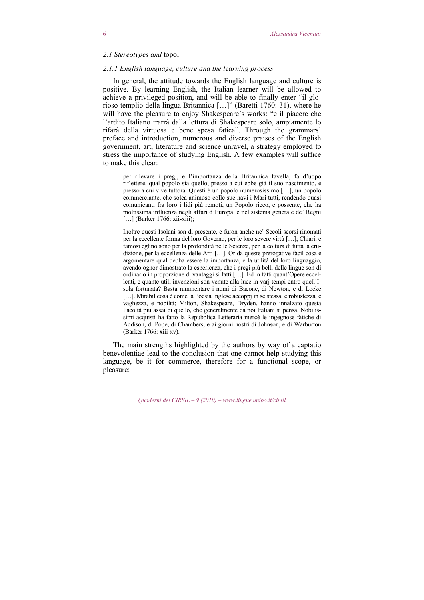#### *2.1 Stereotypes and* topoi

# *2.1.1 English language, culture and the learning process*

In general, the attitude towards the English language and culture is positive. By learning English, the Italian learner will be allowed to achieve a privileged position, and will be able to finally enter "il glorioso templio della lingua Britannica […]" (Baretti 1760: 31), where he will have the pleasure to enjoy Shakespeare's works: "e il piacere che l'ardito Italiano trarrà dalla lettura di Shakespeare solo, ampiamente lo rifarà della virtuosa e bene spesa fatica". Through the grammars' preface and introduction, numerous and diverse praises of the English government, art, literature and science unravel, a strategy employed to stress the importance of studying English. A few examples will suffice to make this clear:

per rilevare i pregj, e l'importanza della Britannica favella, fa d'uopo riflettere, qual popolo sia quello, presso a cui ebbe già il suo nascimento, e presso a cui vive tuttora. Questi è un popolo numerosissimo […], un popolo commerciante, che solca animoso colle sue navi i Mari tutti, rendendo quasi comunicanti fra loro i lidi più remoti, un Popolo ricco, e possente, che ha moltissima influenza negli affari d'Europa, e nel sistema generale de' Regni [...] (Barker 1766: xii-xiii);

Inoltre questi Isolani son di presente, e furon anche ne' Secoli scorsi rinomati per la eccellente forma del loro Governo, per le loro severe virtù […]; Chiari, e famosi eglino sono per la profondità nelle Scienze, per la coltura di tutta la erudizione, per la eccellenza delle Arti […]. Or da queste prerogative facil cosa è argomentare qual debba essere la importanza, e la utilità del loro linguaggio, avendo ognor dimostrato la esperienza, che i pregi più belli delle lingue son di ordinario in proporzione di vantaggi sì fatti […]. Ed in fatti quant'Opere eccellenti, e quante utili invenzioni son venute alla luce in varj tempi entro quell'Isola fortunata? Basta rammentare i nomi di Bacone, di Newton, e di Locke [...]. Mirabil cosa è come la Poesia Inglese accoppi in se stessa, e robustezza, e vaghezza, e nobiltà; Milton, Shakespeare, Dryden, hanno innalzato questa Facoltà più assai di quello, che generalmente da noi Italiani si pensa. Nobilissimi acquisti ha fatto la Repubblica Letteraria mercé le ingegnose fatiche di Addison, di Pope, di Chambers, e ai giorni nostri di Johnson, e di Warburton (Barker 1766: xiii-xv).

The main strengths highlighted by the authors by way of a captatio benevolentiae lead to the conclusion that one cannot help studying this language, be it for commerce, therefore for a functional scope, or pleasure:

*Quaderni del CIRSIL – 9 (2010) – www.lingue.unibo.it/cirsil*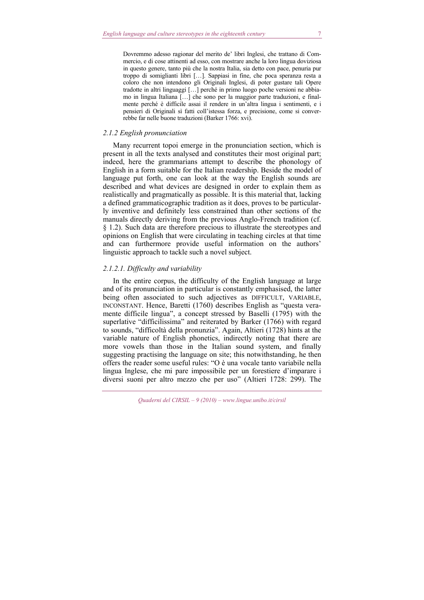Dovremmo adesso ragionar del merito de' libri Inglesi, che trattano di Commercio, e di cose attinenti ad esso, con mostrare anche la loro lingua doviziosa in questo genere, tanto più che la nostra Italia, sia detto con pace, penuria pur troppo di somiglianti libri […]. Sappiasi in fine, che poca speranza resta a coloro che non intendono gli Originali Inglesi, di poter gustare tali Opere tradotte in altri linguaggi […] perché in primo luogo poche versioni ne abbiamo in lingua Italiana […] che sono per la maggior parte traduzioni, e finalmente perché è difficile assai il rendere in un'altra lingua i sentimenti, e i pensieri di Originali sì fatti coll'istessa forza, e precisione, come si converrebbe far nelle buone traduzioni (Barker 1766: xvi).

#### *2.1.2 English pronunciation*

Many recurrent topoi emerge in the pronunciation section, which is present in all the texts analysed and constitutes their most original part; indeed, here the grammarians attempt to describe the phonology of English in a form suitable for the Italian readership. Beside the model of language put forth, one can look at the way the English sounds are described and what devices are designed in order to explain them as realistically and pragmatically as possible. It is this material that, lacking a defined grammaticographic tradition as it does, proves to be particularly inventive and definitely less constrained than other sections of the manuals directly deriving from the previous Anglo-French tradition (cf. § 1.2). Such data are therefore precious to illustrate the stereotypes and opinions on English that were circulating in teaching circles at that time and can furthermore provide useful information on the authors' linguistic approach to tackle such a novel subject.

## *2.1.2.1. Difficulty and variability*

In the entire corpus, the difficulty of the English language at large and of its pronunciation in particular is constantly emphasised, the latter being often associated to such adjectives as DIFFICULT, VARIABLE, INCONSTANT. Hence, Baretti (1760) describes English as "questa veramente difficile lingua", a concept stressed by Baselli (1795) with the superlative "difficilissima" and reiterated by Barker (1766) with regard to sounds, "difficoltà della pronunzia". Again, Altieri (1728) hints at the variable nature of English phonetics, indirectly noting that there are more vowels than those in the Italian sound system, and finally suggesting practising the language on site; this notwithstanding, he then offers the reader some useful rules: "O è una vocale tanto variabile nella lingua Inglese, che mi pare impossibile per un forestiere d'imparare i diversi suoni per altro mezzo che per uso" (Altieri 1728: 299). The

*Quaderni del CIRSIL – 9 (2010) – www.lingue.unibo.it/cirsil*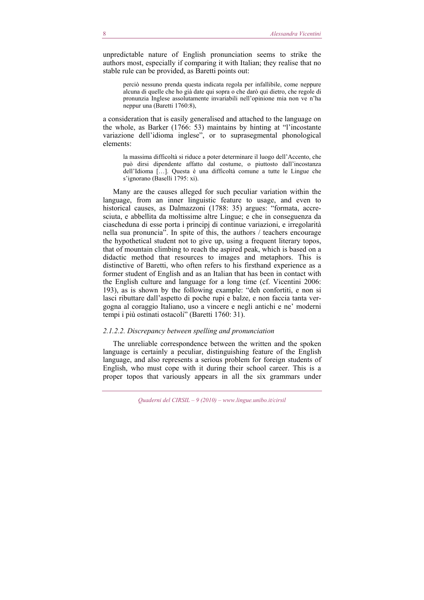unpredictable nature of English pronunciation seems to strike the authors most, especially if comparing it with Italian; they realise that no stable rule can be provided, as Baretti points out:

perciò nessuno prenda questa indicata regola per infallibile, come neppure alcuna di quelle che ho già date qui sopra o che darò qui dietro, che regole di pronunzia Inglese assolutamente invariabili nell'opinione mia non ve n'ha neppur una (Baretti 1760:8),

a consideration that is easily generalised and attached to the language on the whole, as Barker (1766: 53) maintains by hinting at "l'incostante variazione dell'idioma inglese", or to suprasegmental phonological elements:

la massima difficoltà si riduce a poter determinare il luogo dell'Accento, che può dirsi dipendente affatto dal costume, o piuttosto dall'incostanza dell'Idioma […]. Questa è una difficoltà comune a tutte le Lingue che s'ignorano (Baselli 1795: xi).

Many are the causes alleged for such peculiar variation within the language, from an inner linguistic feature to usage, and even to historical causes, as Dalmazzoni (1788: 35) argues: "formata, accresciuta, e abbellita da moltissime altre Lingue; e che in conseguenza da ciascheduna di esse porta i principj di continue variazioni, e irregolarità nella sua pronuncia". In spite of this, the authors / teachers encourage the hypothetical student not to give up, using a frequent literary topos, that of mountain climbing to reach the aspired peak, which is based on a didactic method that resources to images and metaphors. This is distinctive of Baretti, who often refers to his firsthand experience as a former student of English and as an Italian that has been in contact with the English culture and language for a long time (cf. Vicentini 2006: 193), as is shown by the following example: "deh confortiti, e non si lasci ributtare dall'aspetto di poche rupi e balze, e non faccia tanta vergogna al coraggio Italiano, uso a vincere e negli antichi e ne' moderni tempi i più ostinati ostacoli" (Baretti 1760: 31).

### *2.1.2.2. Discrepancy between spelling and pronunciation*

The unreliable correspondence between the written and the spoken language is certainly a peculiar, distinguishing feature of the English language, and also represents a serious problem for foreign students of English, who must cope with it during their school career. This is a proper topos that variously appears in all the six grammars under

*Quaderni del CIRSIL – 9 (2010) – www.lingue.unibo.it/cirsil*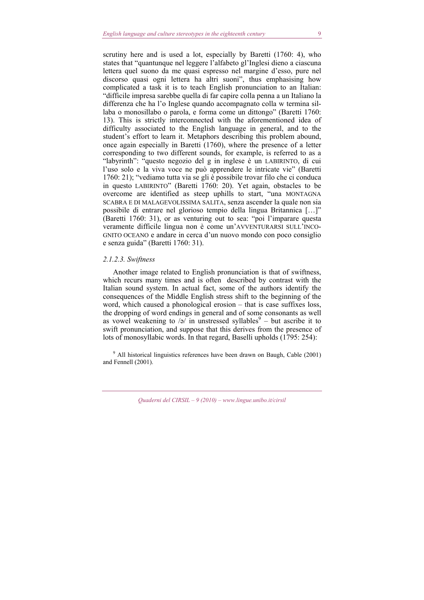scrutiny here and is used a lot, especially by Baretti (1760: 4), who states that "quantunque nel leggere l'alfabeto gl'Inglesi dieno a ciascuna lettera quel suono da me quasi espresso nel margine d'esso, pure nel discorso quasi ogni lettera ha altri suoni", thus emphasising how complicated a task it is to teach English pronunciation to an Italian: "difficile impresa sarebbe quella di far capire colla penna a un Italiano la differenza che ha l'o Inglese quando accompagnato colla w termina sillaba o monosillabo o parola, e forma come un dittongo" (Baretti 1760: 13). This is strictly interconnected with the aforementioned idea of difficulty associated to the English language in general, and to the student's effort to learn it. Metaphors describing this problem abound, once again especially in Baretti (1760), where the presence of a letter corresponding to two different sounds, for example, is referred to as a "labyrinth": "questo negozio del g in inglese è un LABIRINTO, di cui l'uso solo e la viva voce ne può apprendere le intricate vie" (Baretti 1760: 21); "vediamo tutta via se gli è possibile trovar filo che ci conduca in questo LABIRINTO" (Baretti 1760: 20). Yet again, obstacles to be overcome are identified as steep uphills to start, "una MONTAGNA SCABRA E DI MALAGEVOLISSIMA SALITA, senza ascender la quale non sia possibile di entrare nel glorioso tempio della lingua Britannica […]" (Baretti 1760: 31), or as venturing out to sea: "poi l'imparare questa veramente difficile lingua non è come un'AVVENTURARSI SULL'INCO-GNITO OCEANO e andare in cerca d'un nuovo mondo con poco consiglio e senza guida" (Baretti 1760: 31).

#### *2.1.2.3. Swiftness*

Another image related to English pronunciation is that of swiftness, which recurs many times and is often described by contrast with the Italian sound system. In actual fact, some of the authors identify the consequences of the Middle English stress shift to the beginning of the word, which caused a phonological erosion – that is case suffixes loss, the dropping of word endings in general and of some consonants as well as vowel weakening to  $\sqrt{a}$  in unstressed syllables<sup>9</sup> – but ascribe it to swift pronunciation, and suppose that this derives from the presence of lots of monosyllabic words. In that regard, Baselli upholds (1795: 254):

<sup>9</sup> All historical linguistics references have been drawn on Baugh, Cable (2001) and Fennell (2001).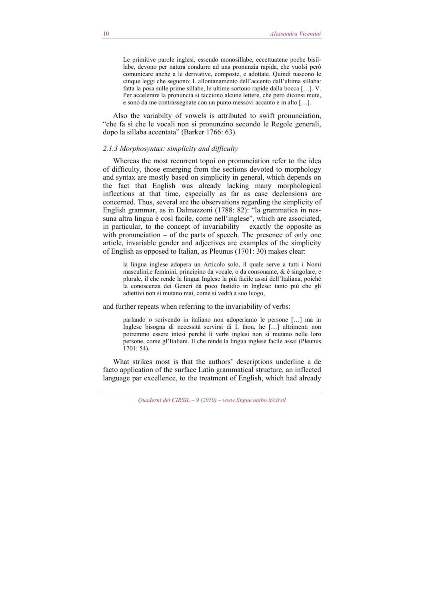Le primitive parole inglesi, essendo monosillabe, eccettuatene poche bisillabe, devono per natura condurre ad una pronunzia rapida, che vuolsi però comunicare anche a le derivative, composte, e adottate. Quindi nascono le cinque leggi che seguono: I. allontanamento dell'accento dall'ultima sillaba: fatta la posa sulle prime sillabe, le ultime sortono rapide dalla bocca […]. V. Per accelerare la pronuncia si tacciono alcune lettere, che però diconsi mute, e sono da me contrassegnate con un punto messovi accanto e in alto […].

Also the variabilty of vowels is attributed to swift pronunciation, "che fa sì che le vocali non si pronunzino secondo le Regole generali, dopo la sillaba accentata" (Barker 1766: 63).

#### *2.1.3 Morphosyntax: simplicity and difficulty*

Whereas the most recurrent topoi on pronunciation refer to the idea of difficulty, those emerging from the sections devoted to morphology and syntax are mostly based on simplicity in general, which depends on the fact that English was already lacking many morphological inflections at that time, especially as far as case declensions are concerned. Thus, several are the observations regarding the simplicity of English grammar, as in Dalmazzoni (1788: 82): "la grammatica in nessuna altra lingua è così facile, come nell'inglese", which are associated, in particular, to the concept of invariability – exactly the opposite as with pronunciation – of the parts of speech. The presence of only one article, invariable gender and adjectives are examples of the simplicity of English as opposed to Italian, as Pleunus (1701: 30) makes clear:

la lingua inglese adopera un Articolo solo, il quale serve a tutti i Nomi masculini,e feminini, principino da vocale, o da consonante, & è singolare, e plurale, il che rende la lingua Inglese la più facile assai dell'Italiana, poiché la conoscenza dei Generi dà poco fastidio in Inglese: tanto più che gli adiettivi non si mutano mai, come si vedrà a suo luogo,

and further repeats when referring to the invariability of verbs:

parlando o scrivendo in italiano non adoperiamo le persone […] ma in Inglese bisogna di necessità servirsi di I, thou, he […] altrimenti non potremmo essere intesi perché li verbi inglesi non si mutano nelle loro persone, come gl'Italiani. Il che rende la lingua inglese facile assai (Pleunus 1701: 54).

What strikes most is that the authors' descriptions underline a de facto application of the surface Latin grammatical structure, an inflected language par excellence, to the treatment of English, which had already

*Quaderni del CIRSIL – 9 (2010) – www.lingue.unibo.it/cirsil*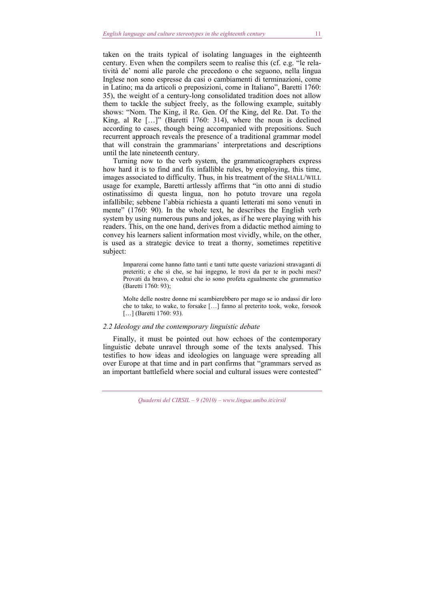taken on the traits typical of isolating languages in the eighteenth century. Even when the compilers seem to realise this (cf. e.g. "le relatività de' nomi alle parole che precedono o che seguono, nella lingua Inglese non sono espresse da casi o cambiamenti di terminazioni, come in Latino; ma da articoli o preposizioni, come in Italiano", Baretti 1760: 35), the weight of a century-long consolidated tradition does not allow them to tackle the subject freely, as the following example, suitably shows: "Nom. The King, il Re. Gen. Of the King, del Re. Dat. To the King, al Re […]" (Baretti 1760: 314), where the noun is declined according to cases, though being accompanied with prepositions. Such recurrent approach reveals the presence of a traditional grammar model that will constrain the grammarians' interpretations and descriptions until the late nineteenth century.

Turning now to the verb system, the grammaticographers express how hard it is to find and fix infallible rules, by employing, this time, images associated to difficulty. Thus, in his treatment of the SHALL/WILL usage for example, Baretti artlessly affirms that "in otto anni di studio ostinatissimo di questa lingua, non ho potuto trovare una regola infallibile; sebbene l'abbia richiesta a quanti letterati mi sono venuti in mente" (1760: 90). In the whole text, he describes the English verb system by using numerous puns and jokes, as if he were playing with his readers. This, on the one hand, derives from a didactic method aiming to convey his learners salient information most vividly, while, on the other, is used as a strategic device to treat a thorny, sometimes repetitive subject:

Imparerai come hanno fatto tanti e tanti tutte queste variazioni stravaganti di preteriti; e che sì che, se hai ingegno, le trovi da per te in pochi mesi? Provati da bravo, e vedrai che io sono profeta egualmente che grammatico (Baretti 1760: 93);

Molte delle nostre donne mi scambierebbero per mago se io andassi dir loro che to take, to wake, to forsake […] fanno al preterito took, woke, forsook [...] (Baretti 1760: 93).

#### *2.2 Ideology and the contemporary linguistic debate*

Finally, it must be pointed out how echoes of the contemporary linguistic debate unravel through some of the texts analysed. This testifies to how ideas and ideologies on language were spreading all over Europe at that time and in part confirms that "grammars served as an important battlefield where social and cultural issues were contested"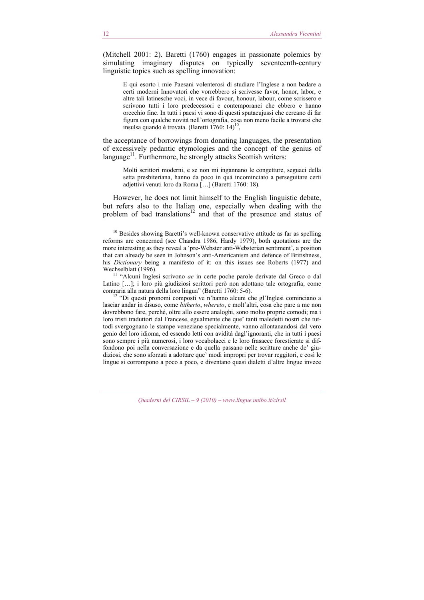(Mitchell 2001: 2). Baretti (1760) engages in passionate polemics by simulating imaginary disputes on typically seventeenth-century linguistic topics such as spelling innovation:

E qui esorto i mie Paesani volenterosi di studiare l'Inglese a non badare a certi moderni Innovatori che vorrebbero si scrivesse favor, honor, labor, e altre tali latinesche voci, in vece di favour, honour, labour, come scrissero e scrivono tutti i loro predecessori e contemporanei che ebbero e hanno orecchio fine. In tutti i paesi vi sono di questi sputacujussi che cercano di far figura con qualche novità nell'ortografia, cosa non meno facile a trovarsi che insulsa quando è trovata. (Baretti 1760: 14)<sup>10</sup>,

the acceptance of borrowings from donating languages, the presentation of excessively pedantic etymologies and the concept of the genius of  $\lambda$ language<sup>11</sup>. Furthermore, he strongly attacks Scottish writers:

Molti scrittori moderni, e se non mi ingannano le congetture, seguaci della setta presbiteriana, hanno da poco in quà incominciato a perseguitare certi adjettivi venuti loro da Roma […] (Baretti 1760: 18).

However, he does not limit himself to the English linguistic debate, but refers also to the Italian one, especially when dealing with the problem of bad translations<sup>12</sup> and that of the presence and status of

<sup>10</sup> Besides showing Baretti's well-known conservative attitude as far as spelling reforms are concerned (see Chandra 1986, Hardy 1979), both quotations are the more interesting as they reveal a 'pre-Webster anti-Websterian sentiment', a position that can already be seen in Johnson's anti-Americanism and defence of Britishness, his *Dictionary* being a manifesto of it: on this issues see Roberts (1977) and Wechselblatt (1996).<br><sup>11</sup> "Alcuni Inglesi scrivono *ae* in certe poche parole derivate dal Greco o dal

Latino [...]; i loro più giudiziosi scrittori però non adottano tale ortografia, come contraria alla natura della loro lingua" (Baretti 1760: 5-6).

<sup>12</sup> "Di questi pronomi composti ve n'hanno alcuni che gl'Inglesi cominciano a lasciar andar in disuso, come *hitherto*, *whereto*, e molt'altri, cosa che pare a me non dovrebbono fare, perché, oltre allo essere analoghi, sono molto proprie comodi; ma i loro tristi traduttori dal Francese, egualmente che que' tanti maledetti nostri che tuttodì svergognano le stampe veneziane specialmente, vanno allontanandosi dal vero genio del loro idioma, ed essendo letti con avidità dagl'ignoranti, che in tutti i paesi sono sempre i più numerosi, i loro vocabolacci e le loro frasacce forestierate si diffondono poi nella conversazione e da quella passano nelle scritture anche de' giudiziosi, che sono sforzati a adottare que' modi impropri per trovar reggitori, e così le lingue si corrompono a poco a poco, e diventano quasi dialetti d'altre lingue invece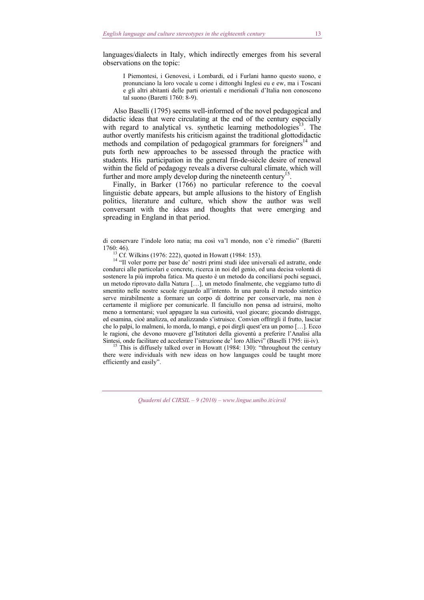languages/dialects in Italy, which indirectly emerges from his several observations on the topic:

I Piemontesi, i Genovesi, i Lombardi, ed i Furlani hanno questo suono, e pronunciano la loro vocale u come i dittonghi Inglesi eu e ew, ma i Toscani e gli altri abitanti delle parti orientali e meridionali d'Italia non conoscono tal suono (Baretti 1760: 8-9).

Also Baselli (1795) seems well-informed of the novel pedagogical and didactic ideas that were circulating at the end of the century especially with regard to analytical vs. synthetic learning methodologies<sup>13</sup>. The author overtly manifests his criticism against the traditional glottodidactic methods and compilation of pedagogical grammars for foreigners<sup>14</sup> and puts forth new approaches to be assessed through the practice with students. His participation in the general fin-de-siècle desire of renewal within the field of pedagogy reveals a diverse cultural climate, which will further and more amply develop during the nineteenth century<sup>1</sup>

Finally, in Barker (1766) no particular reference to the coeval linguistic debate appears, but ample allusions to the history of English politics, literature and culture, which show the author was well conversant with the ideas and thoughts that were emerging and spreading in England in that period.

di conservare l'indole loro natia; ma così va'l mondo, non c'è rimedio" (Baretti

1760: 46).<br><sup>13</sup> Cf. Wilkins (1976: 222), quoted in Howatt (1984: 153).<br><sup>14</sup> "Il voler porre per base de' nostri primi studi idee universali ed astratte, onde condurci alle particolari e concrete, ricerca in noi del genio, ed una decisa volontà di sostenere la più improba fatica. Ma questo è un metodo da conciliarsi pochi seguaci, un metodo riprovato dalla Natura […], un metodo finalmente, che veggiamo tutto dì smentito nelle nostre scuole riguardo all'intento. In una parola il metodo sintetico serve mirabilmente a formare un corpo di dottrine per conservarle, ma non è certamente il migliore per comunicarle. Il fanciullo non pensa ad istruirsi, molto meno a tormentarsi; vuol appagare la sua curiosità, vuol giocare; giocando distrugge, ed esamina, cioè analizza, ed analizzando s'istruisce. Convien offrirgli il frutto, lasciar che lo palpi, lo malmeni, lo morda, lo mangi, e poi dirgli quest'era un pomo […]. Ecco le ragioni, che devono muovere gl'Istitutori della gioventù a preferire l'Analisi alla Sintesi, onde facilitare ed accelerare l'istruzione de' loro Allievi" (Baselli 1795: iii-iv). 15 This is diffusely talked over in Howatt (1984: 130): "throughout the century

there were individuals with new ideas on how languages could be taught more efficiently and easily".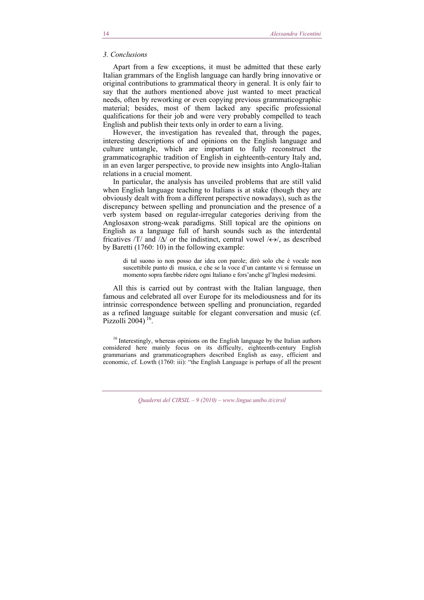## *3. Conclusions*

Apart from a few exceptions, it must be admitted that these early Italian grammars of the English language can hardly bring innovative or original contributions to grammatical theory in general. It is only fair to say that the authors mentioned above just wanted to meet practical needs, often by reworking or even copying previous grammaticographic material; besides, most of them lacked any specific professional qualifications for their job and were very probably compelled to teach English and publish their texts only in order to earn a living.

However, the investigation has revealed that, through the pages, interesting descriptions of and opinions on the English language and culture untangle, which are important to fully reconstruct the grammaticographic tradition of English in eighteenth-century Italy and, in an even larger perspective, to provide new insights into Anglo-Italian relations in a crucial moment.

In particular, the analysis has unveiled problems that are still valid when English language teaching to Italians is at stake (though they are obviously dealt with from a different perspective nowadays), such as the discrepancy between spelling and pronunciation and the presence of a verb system based on regular-irregular categories deriving from the Anglosaxon strong-weak paradigms. Still topical are the opinions on English as a language full of harsh sounds such as the interdental fricatives /T/ and  $/\Delta$ / or the indistinct, central vowel  $/\leftrightarrow$ /, as described by Baretti (1760: 10) in the following example:

di tal suono io non posso dar idea con parole; dirò solo che è vocale non suscettibile punto di musica, e che se la voce d'un cantante vi si fermasse un momento sopra farebbe ridere ogni Italiano e fors'anche gl'Inglesi medesimi.

All this is carried out by contrast with the Italian language, then famous and celebrated all over Europe for its melodiousness and for its intrinsic correspondence between spelling and pronunciation, regarded as a refined language suitable for elegant conversation and music (cf. Pizzolli 2004) $16$ .

<sup>16</sup> Interestingly, whereas opinions on the English language by the Italian authors considered here mainly focus on its difficulty, eighteenth-century English grammarians and grammaticographers described English as easy, efficient and economic, cf. Lowth (1760: iii): "the English Language is perhaps of all the present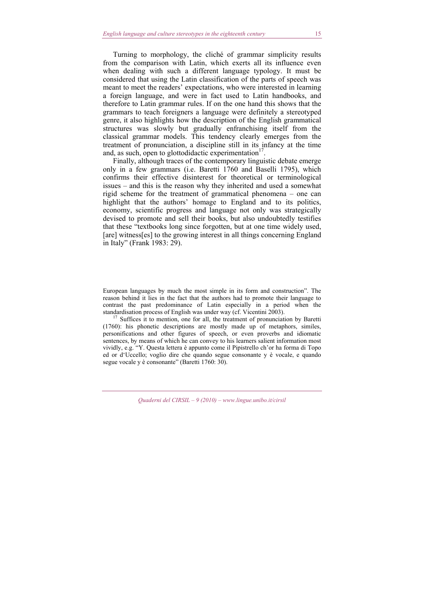Turning to morphology, the cliché of grammar simplicity results from the comparison with Latin, which exerts all its influence even when dealing with such a different language typology. It must be considered that using the Latin classification of the parts of speech was meant to meet the readers' expectations, who were interested in learning a foreign language, and were in fact used to Latin handbooks, and therefore to Latin grammar rules. If on the one hand this shows that the grammars to teach foreigners a language were definitely a stereotyped genre, it also highlights how the description of the English grammatical structures was slowly but gradually enfranchising itself from the classical grammar models. This tendency clearly emerges from the treatment of pronunciation, a discipline still in its infancy at the time and, as such, open to glottodidactic experimentation<sup>17</sup>

Finally, although traces of the contemporary linguistic debate emerge only in a few grammars (i.e. Baretti 1760 and Baselli 1795), which confirms their effective disinterest for theoretical or terminological issues – and this is the reason why they inherited and used a somewhat rigid scheme for the treatment of grammatical phenomena – one can highlight that the authors' homage to England and to its politics, economy, scientific progress and language not only was strategically devised to promote and sell their books, but also undoubtedly testifies that these "textbooks long since forgotten, but at one time widely used, [are] witness[es] to the growing interest in all things concerning England in Italy" (Frank 1983: 29).

European languages by much the most simple in its form and construction". The reason behind it lies in the fact that the authors had to promote their language to contrast the past predominance of Latin especially in a period when the

standardisation process of English was under way (cf. Vicentini 2003). 17 Suffices it to mention, one for all, the treatment of pronunciation by Baretti (1760): his phonetic descriptions are mostly made up of metaphors, similes, personifications and other figures of speech, or even proverbs and idiomatic sentences, by means of which he can convey to his learners salient information most vividly, e.g. "Y. Questa lettera è appunto come il Pipistrello ch'or ha forma di Topo ed or d'Uccello; voglio dire che quando segue consonante y è vocale, e quando segue vocale y è consonante" (Baretti 1760: 30).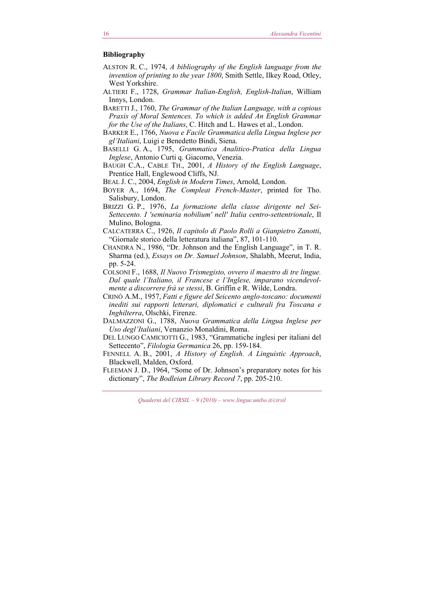# **Bibliography**

- ALSTON R. C., 1974, *A bibliography of the English language from the invention of printing to the year 1800*, Smith Settle, Ilkey Road, Otley, West Yorkshire.
- ALTIERI F., 1728, *Grammar Italian-English, English-Italian*, William Innys, London.
- BARETTI J., 1760, *The Grammar of the Italian Language, with a copious Praxis of Moral Sentences. To which is added An English Grammar for the Use of the Italians*, C. Hitch and L. Hawes et al., London.
- BARKER E., 1766, *Nuova e Facile Grammatica della Lingua Inglese per gl'Italiani*, Luigi e Benedetto Bindi, Siena.
- BASELLI G. A., 1795, *Grammatica Analitico-Pratica della Lingua Inglese*, Antonio Curti q. Giacomo, Venezia.
- BAUGH C.A., CABLE TH., 2001, *A History of the English Language*, Prentice Hall, Englewood Cliffs, NJ.
- BEAL J. C., 2004, *English in Modern Times*, Arnold, London.
- BOYER A., 1694, *The Compleat French-Master*, printed for Tho. Salisbury, London.
- BRIZZI G. P., 1976, *La formazione della classe dirigente nel Sei-Settecento. I 'seminaria nobilium' nell' Italia centro-settentrionale*, Il Mulino, Bologna.
- CALCATERRA C., 1926, *Il capitolo di Paolo Rolli a Gianpietro Zanotti*, "Giornale storico della letteratura italiana", 87, 101-110.
- CHANDRA N., 1986, "Dr. Johnson and the English Language", in T. R. Sharma (ed.), *Essays on Dr. Samuel Johnson*, Shalabh, Meerut, India, pp. 5-24.
- COLSONI F., 1688, *Il Nuovo Trismegisto, ovvero il maestro di tre lingue. Dal quale l'Italiano, il Francese e l'Inglese, imparano vicendevolmente a discorrere frà se stessi*, B. Griffin e R. Wilde, Londra.
- CRINÒ A.M., 1957, *Fatti e figure del Seicento anglo-toscano: documenti inediti sui rapporti letterari, diplomatici e culturali fra Toscana e Inghilterra*, Olschki, Firenze.
- DALMAZZONI G., 1788, *Nuova Grammatica della Lingua Inglese per Uso degl'Italiani*, Venanzio Monaldini, Roma.
- DEL LUNGO CAMICIOTTI G., 1983, "Grammatiche inglesi per italiani del Settecento", *Filologia Germanica* 26, pp. 159-184.
- FENNELL A. B., 2001, *A History of English. A Linguistic Approach*, Blackwell, Malden, Oxford.
- FLEEMAN J. D., 1964, "Some of Dr. Johnson's preparatory notes for his dictionary", *The Bodleian Library Record 7*, pp. 205-210.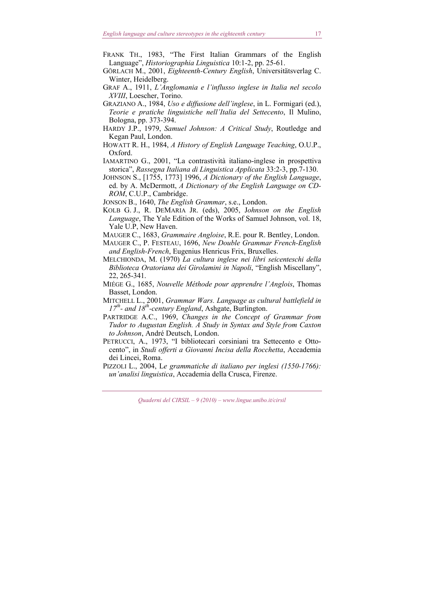- GÖRLACH M., 2001, *Eighteenth-Century English*, Universitätsverlag C. Winter, Heidelberg.
- GRAF A., 1911, *L'Anglomania e l'influsso inglese in Italia nel secolo XVIII*, Loescher, Torino.
- GRAZIANO A., 1984, *Uso e diffusione dell'inglese*, in L. Formigari (ed.), *Teorie e pratiche linguistiche nell'Italia del Settecento*, Il Mulino, Bologna, pp. 373-394.
- HARDY J.P., 1979, *Samuel Johnson: A Critical Study*, Routledge and Kegan Paul, London.
- HOWATT R. H., 1984, *A History of English Language Teaching*, O.U.P., Oxford.
- IAMARTINO G., 2001, "La contrastività italiano-inglese in prospettiva storica", *Rassegna Italiana di Linguistica Applicata* 33:2-3, pp.7-130.
- JOHNSON S., [1755, 1773] 1996, *A Dictionary of the English Language*, ed. by A. McDermott, *A Dictionary of the English Language on CD-ROM*, C.U.P., Cambridge.
- JONSON B., 1640, *The English Grammar*, s.e., London.
- KOLB G. J., R. DEMARIA JR. (eds), 2005, J*ohnson on the English Language*, The Yale Edition of the Works of Samuel Johnson, vol. 18, Yale U.P, New Haven.
- MAUGER C., 1683, *Grammaire Angloise*, R.E. pour R. Bentley, London.
- MAUGER C., P. FESTEAU, 1696, *New Double Grammar French-English and English-French*, Eugenius Henricus Frix, Bruxelles.
- MELCHIONDA, M. (1970) *La cultura inglese nei libri seicenteschi della Biblioteca Oratoriana dei Girolamini in Napoli*, "English Miscellany", 22, 265-341.
- MIÉGE G., 1685, *Nouvelle Méthode pour apprendre l'Anglois*, Thomas Basset, London.
- MITCHELL L., 2001, *Grammar Wars. Language as cultural battlefield in*   $17^{th}$ - and  $18^{th}$ -century England, Ashgate, Burlington.
- PARTRIDGE A.C., 1969, *Changes in the Concept of Grammar from Tudor to Augustan English. A Study in Syntax and Style from Caxton to Johnson*, André Deutsch, London.
- PETRUCCI, A., 1973, "I bibliotecari corsiniani tra Settecento e Ottocento", in *Studi offerti a Giovanni Incisa della Rocchetta*, Accademia dei Lincei, Roma.
- PIZZOLI L., 2004, L*e grammatiche di italiano per inglesi (1550-1766): un'analisi linguistica*, Accademia della Crusca, Firenze.